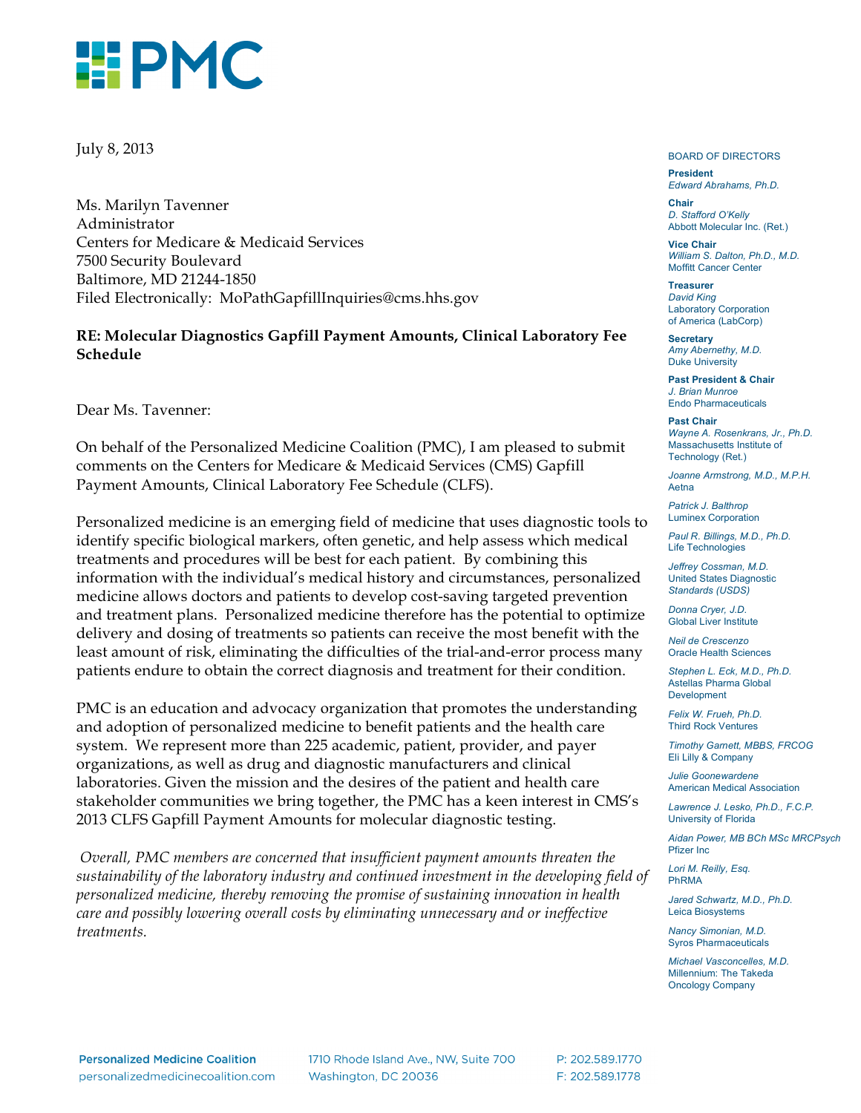

July 8, 2013

Ms. Marilyn Tavenner Administrator Centers for Medicare & Medicaid Services 7500 Security Boulevard Baltimore, MD 21244-1850 Filed Electronically: MoPathGapfillInquiries@cms.hhs.gov

#### **RE: Molecular Diagnostics Gapfill Payment Amounts, Clinical Laboratory Fee Schedule**

Dear Ms. Tavenner:

On behalf of the Personalized Medicine Coalition (PMC), I am pleased to submit comments on the Centers for Medicare & Medicaid Services (CMS) Gapfill Payment Amounts, Clinical Laboratory Fee Schedule (CLFS).

Personalized medicine is an emerging field of medicine that uses diagnostic tools to identify specific biological markers, often genetic, and help assess which medical treatments and procedures will be best for each patient. By combining this information with the individual's medical history and circumstances, personalized medicine allows doctors and patients to develop cost-saving targeted prevention and treatment plans. Personalized medicine therefore has the potential to optimize delivery and dosing of treatments so patients can receive the most benefit with the least amount of risk, eliminating the difficulties of the trial-and-error process many patients endure to obtain the correct diagnosis and treatment for their condition.

PMC is an education and advocacy organization that promotes the understanding and adoption of personalized medicine to benefit patients and the health care system. We represent more than 225 academic, patient, provider, and payer organizations, as well as drug and diagnostic manufacturers and clinical laboratories. Given the mission and the desires of the patient and health care stakeholder communities we bring together, the PMC has a keen interest in CMS's 2013 CLFS Gapfill Payment Amounts for molecular diagnostic testing.

*Overall, PMC members are concerned that insufficient payment amounts threaten the sustainability of the laboratory industry and continued investment in the developing field of personalized medicine, thereby removing the promise of sustaining innovation in health care and possibly lowering overall costs by eliminating unnecessary and or ineffective treatments.* 

BOARD OF DIRECTORS

**President** *Edward Abrahams, Ph.D.*

**Chair** *D. Stafford O'Kelly* Abbott Molecular Inc. (Ret.)

**Vice Chair** *William S. Dalton, Ph.D., M.D.* Moffitt Cancer Center

**Treasurer** *David King* Laboratory Corporation of America (LabCorp)

**Secretary** *Amy Abernethy, M.D.* Duke University

**Past President & Chair** *J. Brian Munroe* Endo Pharmaceuticals

**Past Chair** *Wayne A. Rosenkrans, Jr., Ph.D.* Massachusetts Institute of Technology (Ret.)

*Joanne Armstrong, M.D., M.P.H.* Aetna

*Patrick J. Balthrop* Luminex Corporation

*Paul R. Billings, M.D., Ph.D.* Life Technologies

*Jeffrey Cossman, M.D.* United States Diagnostic *Standards (USDS)*

*Donna Cryer, J.D.* Global Liver Institute

*Neil de Crescenzo* Oracle Health Sciences

*Stephen L. Eck, M.D., Ph.D.* Astellas Pharma Global **Development** 

*Felix W. Frueh, Ph.D.* Third Rock Ventures

*Timothy Garnett, MBBS, FRCOG* Eli Lilly & Company

*Julie Goonewardene* American Medical Association

*Lawrence J. Lesko, Ph.D., F.C.P.* University of Florida

*Aidan Power, MB BCh MSc MRCPsych* Pfizer Inc

*Lori M. Reilly, Esq.* PhRMA

*Jared Schwartz, M.D., Ph.D.* Leica Biosystems

*Nancy Simonian, M.D.*  Syros Pharmaceuticals

*Michael Vasconcelles, M.D.* Millennium: The Takeda Oncology Company

**Personalized Medicine Coalition** personalizedmedicinecoalition.com 1710 Rhode Island Ave., NW, Suite 700 Washington, DC 20036

P: 202.589.1770 F: 202.589.1778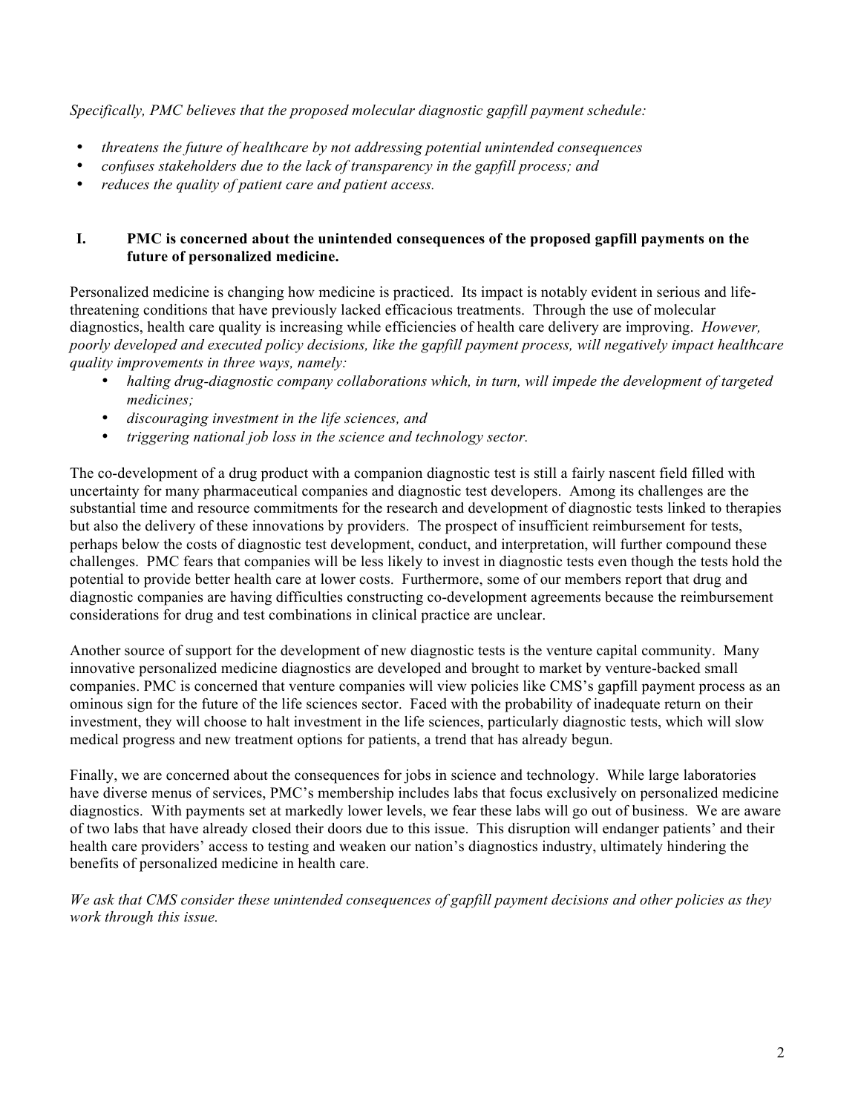*Specifically, PMC believes that the proposed molecular diagnostic gapfill payment schedule:*

- *threatens the future of healthcare by not addressing potential unintended consequences*
- *confuses stakeholders due to the lack of transparency in the gapfill process; and*
- *reduces the quality of patient care and patient access.*

### **I. PMC is concerned about the unintended consequences of the proposed gapfill payments on the future of personalized medicine.**

Personalized medicine is changing how medicine is practiced. Its impact is notably evident in serious and lifethreatening conditions that have previously lacked efficacious treatments. Through the use of molecular diagnostics, health care quality is increasing while efficiencies of health care delivery are improving. *However, poorly developed and executed policy decisions, like the gapfill payment process, will negatively impact healthcare quality improvements in three ways, namely:*

- *halting drug-diagnostic company collaborations which, in turn, will impede the development of targeted medicines;*
- *discouraging investment in the life sciences, and*
- *triggering national job loss in the science and technology sector.*

The co-development of a drug product with a companion diagnostic test is still a fairly nascent field filled with uncertainty for many pharmaceutical companies and diagnostic test developers. Among its challenges are the substantial time and resource commitments for the research and development of diagnostic tests linked to therapies but also the delivery of these innovations by providers. The prospect of insufficient reimbursement for tests, perhaps below the costs of diagnostic test development, conduct, and interpretation, will further compound these challenges. PMC fears that companies will be less likely to invest in diagnostic tests even though the tests hold the potential to provide better health care at lower costs. Furthermore, some of our members report that drug and diagnostic companies are having difficulties constructing co-development agreements because the reimbursement considerations for drug and test combinations in clinical practice are unclear.

Another source of support for the development of new diagnostic tests is the venture capital community. Many innovative personalized medicine diagnostics are developed and brought to market by venture-backed small companies. PMC is concerned that venture companies will view policies like CMS's gapfill payment process as an ominous sign for the future of the life sciences sector. Faced with the probability of inadequate return on their investment, they will choose to halt investment in the life sciences, particularly diagnostic tests, which will slow medical progress and new treatment options for patients, a trend that has already begun.

Finally, we are concerned about the consequences for jobs in science and technology. While large laboratories have diverse menus of services, PMC's membership includes labs that focus exclusively on personalized medicine diagnostics. With payments set at markedly lower levels, we fear these labs will go out of business. We are aware of two labs that have already closed their doors due to this issue. This disruption will endanger patients' and their health care providers' access to testing and weaken our nation's diagnostics industry, ultimately hindering the benefits of personalized medicine in health care.

*We ask that CMS consider these unintended consequences of gapfill payment decisions and other policies as they work through this issue.*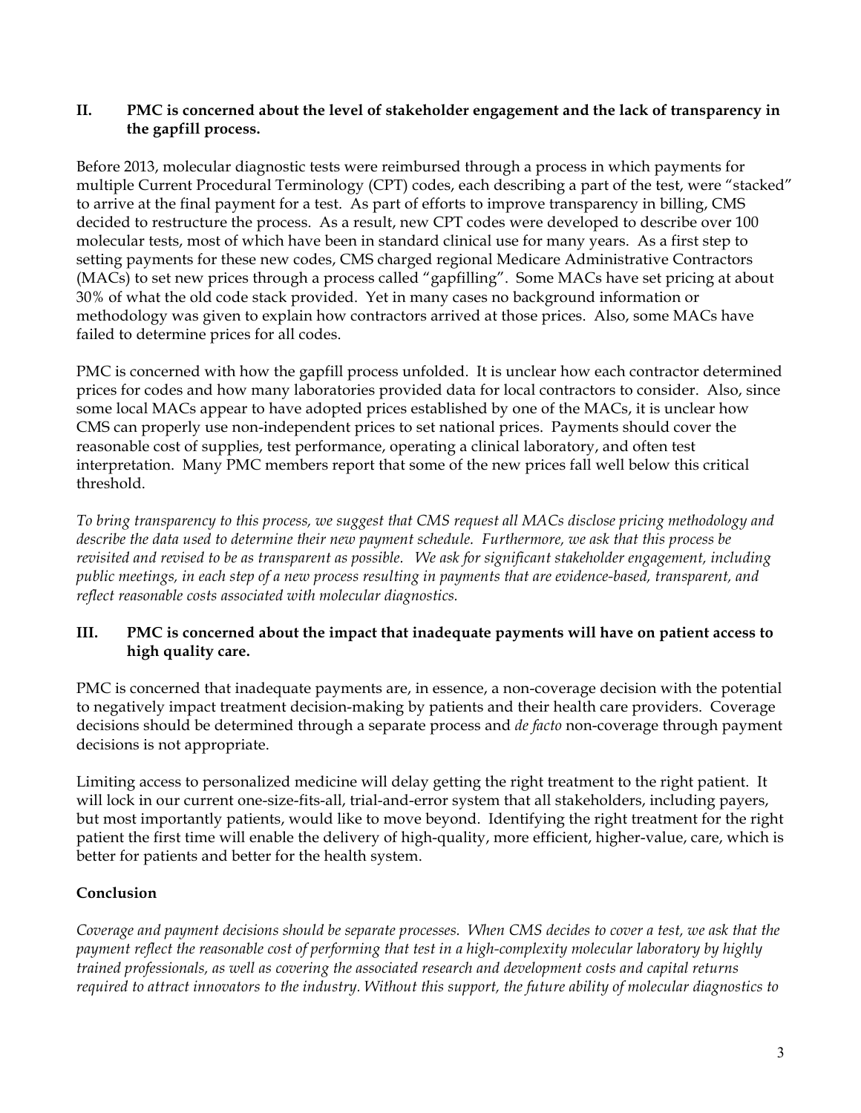### **II. PMC is concerned about the level of stakeholder engagement and the lack of transparency in the gapfill process.**

Before 2013, molecular diagnostic tests were reimbursed through a process in which payments for multiple Current Procedural Terminology (CPT) codes, each describing a part of the test, were "stacked" to arrive at the final payment for a test. As part of efforts to improve transparency in billing, CMS decided to restructure the process. As a result, new CPT codes were developed to describe over 100 molecular tests, most of which have been in standard clinical use for many years. As a first step to setting payments for these new codes, CMS charged regional Medicare Administrative Contractors (MACs) to set new prices through a process called "gapfilling". Some MACs have set pricing at about 30% of what the old code stack provided. Yet in many cases no background information or methodology was given to explain how contractors arrived at those prices. Also, some MACs have failed to determine prices for all codes.

PMC is concerned with how the gapfill process unfolded. It is unclear how each contractor determined prices for codes and how many laboratories provided data for local contractors to consider. Also, since some local MACs appear to have adopted prices established by one of the MACs, it is unclear how CMS can properly use non-independent prices to set national prices. Payments should cover the reasonable cost of supplies, test performance, operating a clinical laboratory, and often test interpretation. Many PMC members report that some of the new prices fall well below this critical threshold.

*To bring transparency to this process, we suggest that CMS request all MACs disclose pricing methodology and describe the data used to determine their new payment schedule. Furthermore, we ask that this process be revisited and revised to be as transparent as possible. We ask for significant stakeholder engagement, including public meetings, in each step of a new process resulting in payments that are evidence-based, transparent, and reflect reasonable costs associated with molecular diagnostics.*

## **III. PMC is concerned about the impact that inadequate payments will have on patient access to high quality care.**

PMC is concerned that inadequate payments are, in essence, a non-coverage decision with the potential to negatively impact treatment decision-making by patients and their health care providers. Coverage decisions should be determined through a separate process and *de facto* non-coverage through payment decisions is not appropriate.

Limiting access to personalized medicine will delay getting the right treatment to the right patient. It will lock in our current one-size-fits-all, trial-and-error system that all stakeholders, including payers, but most importantly patients, would like to move beyond. Identifying the right treatment for the right patient the first time will enable the delivery of high-quality, more efficient, higher-value, care, which is better for patients and better for the health system.

# **Conclusion**

*Coverage and payment decisions should be separate processes. When CMS decides to cover a test, we ask that the payment reflect the reasonable cost of performing that test in a high-complexity molecular laboratory by highly trained professionals, as well as covering the associated research and development costs and capital returns required to attract innovators to the industry. Without this support, the future ability of molecular diagnostics to*